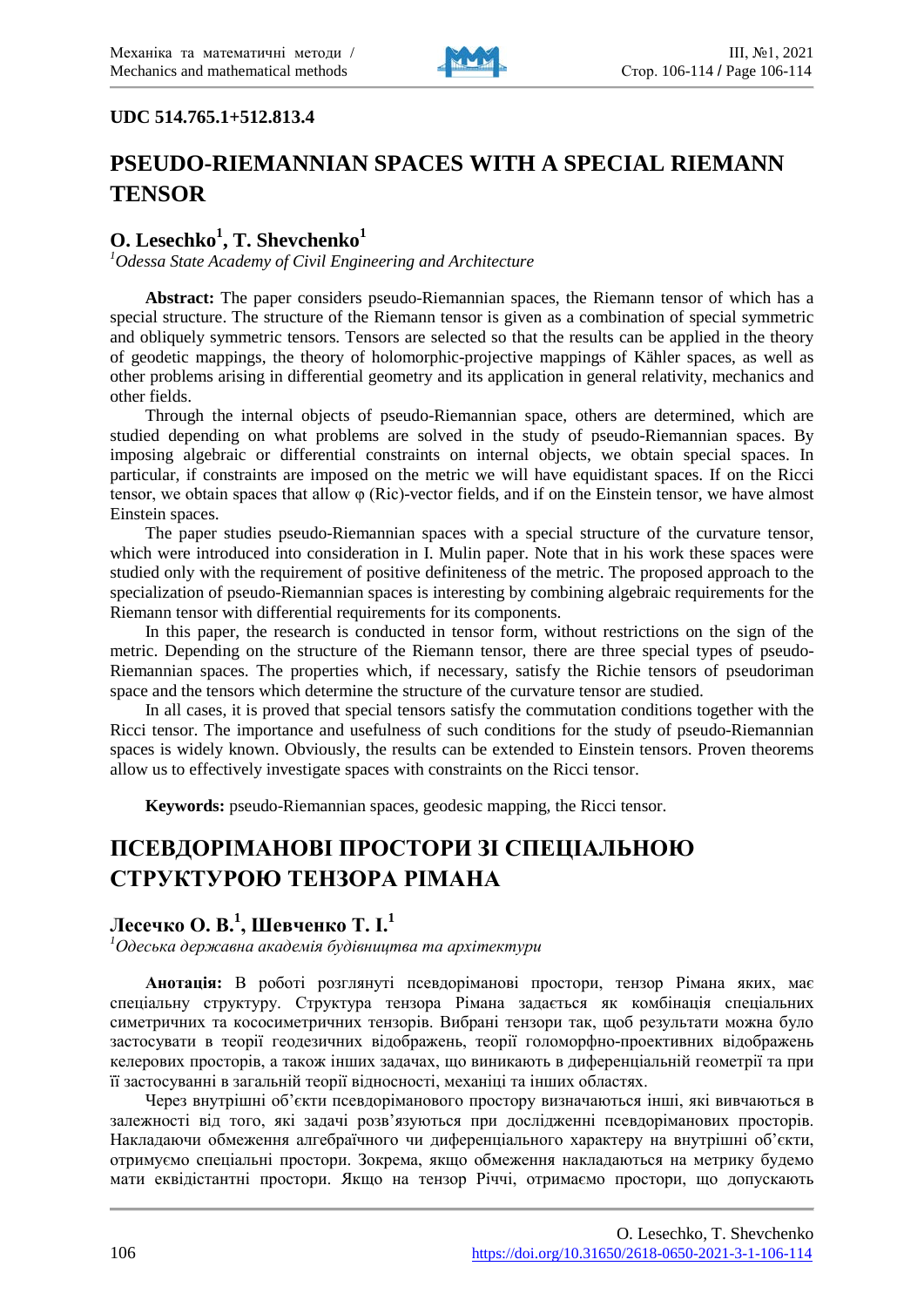

## **UDC 514.765.1+512.813.4**

# **PSEUDO-RIEMANNIAN SPACES WITH A SPECIAL RIEMANN TENSOR**

# **O. Lesechko<sup>1</sup> , T. Shevchenko<sup>1</sup>**

*1 Odessa State Academy of Civil Engineering and Architecture*

**Abstract:** The paper considers pseudo-Riemannian spaces, the Riemann tensor of which has a special structure. The structure of the Riemann tensor is given as a combination of special symmetric and obliquely symmetric tensors. Tensors are selected so that the results can be applied in the theory of geodetic mappings, the theory of holomorphic-projective mappings of Kähler spaces, as well as other problems arising in differential geometry and its application in general relativity, mechanics and other fields.

Through the internal objects of pseudo-Riemannian space, others are determined, which are studied depending on what problems are solved in the study of pseudo-Riemannian spaces. By imposing algebraic or differential constraints on internal objects, we obtain special spaces. In particular, if constraints are imposed on the metric we will have equidistant spaces. If on the Ricci tensor, we obtain spaces that allow φ (Ric)-vector fields, and if on the Einstein tensor, we have almost Einstein spaces.

The paper studies pseudo-Riemannian spaces with a special structure of the curvature tensor, which were introduced into consideration in I. Mulin paper. Note that in his work these spaces were studied only with the requirement of positive definiteness of the metric. The proposed approach to the specialization of pseudo-Riemannian spaces is interesting by combining algebraic requirements for the Riemann tensor with differential requirements for its components.

In this paper, the research is conducted in tensor form, without restrictions on the sign of the metric. Depending on the structure of the Riemann tensor, there are three special types of pseudo-Riemannian spaces. The properties which, if necessary, satisfy the Richie tensors of pseudoriman space and the tensors which determine the structure of the curvature tensor are studied.

In all cases, it is proved that special tensors satisfy the commutation conditions together with the Ricci tensor. The importance and usefulness of such conditions for the study of pseudo-Riemannian spaces is widely known. Obviously, the results can be extended to Einstein tensors. Proven theorems allow us to effectively investigate spaces with constraints on the Ricci tensor.

**Keywords:** pseudo-Riemannian spaces, geodesic mapping, the Ricci tensor.

# **ПСЕВДОРІМАНОВІ ПРОСТОРИ ЗІ СПЕЦІАЛЬНОЮ СТРУКТУРОЮ ТЕНЗОРА РІМАНА**

# **Лесечко О. В.<sup>1</sup> , Шевченко Т. І.<sup>1</sup>**

*1 Одеська державна академія будівництва та архітектури*

**Анотація:** В роботі розглянуті псевдоріманові простори, тензор Рімана яких, має спеціальну структуру. Структура тензора Рімана задається як комбінація спеціальних симетричних та кососиметричних тензорів. Вибрані тензори так, щоб результати можна було застосувати в теорії геодезичних відображень, теорії голоморфно-проективних відображень келерових просторів, а також інших задачах, що виникають в диференціальній геометрії та при її застосуванні в загальній теорії відносності, механіці та інших областях.

Через внутрішні об'єкти псевдоріманового простору визначаються інші, які вивчаються в залежності від того, які задачі розв'язуються при дослідженні псевдоріманових просторів. Накладаючи обмеження алгебраїчного чи диференціального характеру на внутрішні об'єкти, отримуємо спеціальні простори. Зокрема, якщо обмеження накладаються на метрику будемо мати еквідістантні простори. Якщо на тензор Річчі, отримаємо простори, що допускають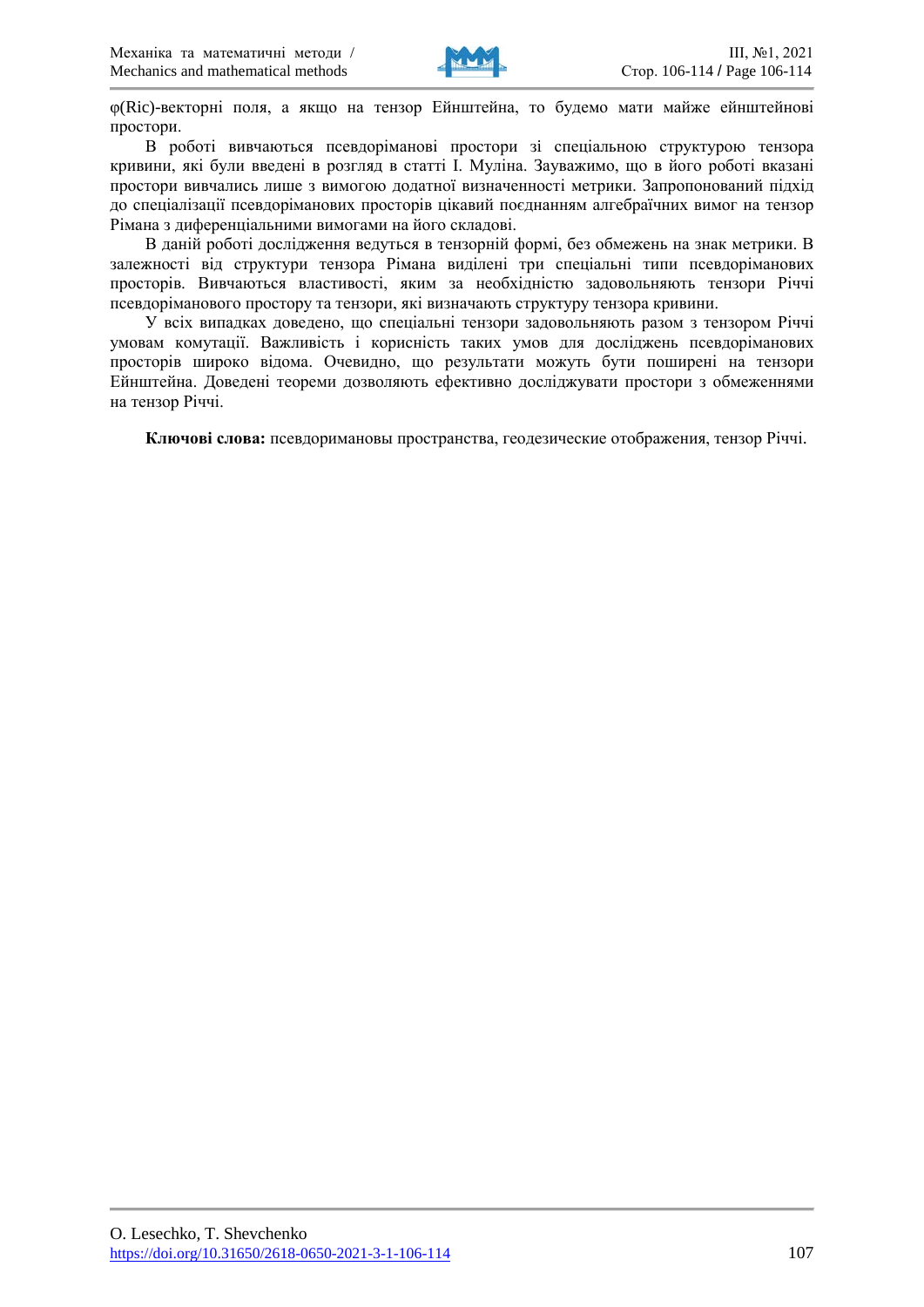

φ(Ric)-векторні поля, а якщо на тензор Ейнштейна, то будемо мати майже ейнштейнові простори.

В роботі вивчаються псевдоріманові простори зi спеціальною структурою тензора кривини, які були введені в розгляд в статті I. Муліна. Зауважимо, що в його роботі вказані простори вивчались лише з вимогою додатної визначенності метрики. Запропонований підхід до спеціалізації псевдоріманових просторів цікавий поєднанням алгебраїчних вимог на тензор Рімана з диференціальними вимогами на його складові.

В даній роботі дослідження ведуться в тензорній формі, без обмежень на знак метрики. В залежності від структури тензора Рімана виділені три спеціальні типи псевдоріманових просторів. Вивчаються властивості, яким за необхідністю задовольняють тензори Річчі псевдоріманового простору та тензори, які визначають структуру тензора кривини.

У всіх випадках доведено, що спеціальні тензори задовольняють разом з тензором Річчі умовам комутації. Важливість і корисність таких умов для досліджень псевдоріманових просторів широко відома. Очевидно, що результати можуть бути поширені на тензори Ейнштейна. Доведені теореми дозволяють ефективно досліджувати простори з обмеженнями на тензор Річчі.

**Ключові слова:** псевдоримановы пространства, геодезические отображения, тензор Річчі.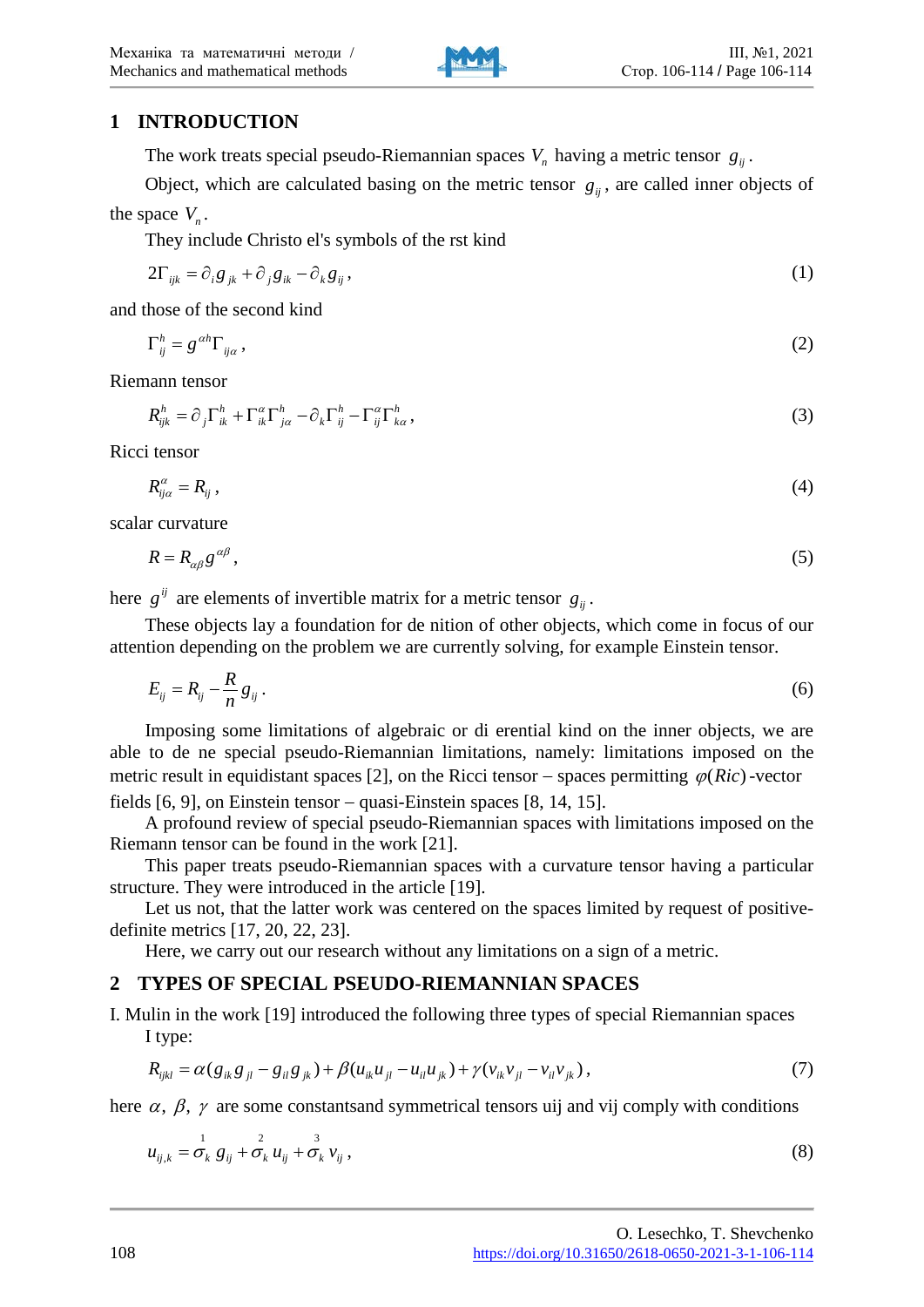

# **1 INTRODUCTION**

The work treats special pseudo-Riemannian spaces  $V_n$  having a metric tensor  $g_{ij}$ .

Object, which are calculated basing on the metric tensor  $g_{ii}$ , are called inner objects of the space  $V_{n}$ .

They include Christo el's symbols of the rst kind

$$
2\Gamma_{ijk} = \partial_i g_{jk} + \partial_j g_{ik} - \partial_k g_{ij},\tag{1}
$$

and those of the second kind

$$
\Gamma_{ij}^h = g^{\alpha h} \Gamma_{ij\alpha} \,, \tag{2}
$$

Riemann tensor

$$
R_{ijk}^h = \partial_j \Gamma_{ik}^h + \Gamma_{ik}^\alpha \Gamma_{j\alpha}^h - \partial_k \Gamma_{ij}^h - \Gamma_{ij}^\alpha \Gamma_{k\alpha}^h,
$$
\n(3)

Ricci tensor

$$
R_{ij\alpha}^{\alpha} = R_{ij} \,, \tag{4}
$$

scalar curvature

$$
R = R_{\alpha\beta} g^{\alpha\beta} \,,\tag{5}
$$

here  $g^{ij}$  are elements of invertible matrix for a metric tensor  $g_{ii}$ .

These objects lay a foundation for de nition of other objects, which come in focus of our attention depending on the problem we are currently solving, for example Einstein tensor.

$$
E_{ij} = R_{ij} - \frac{R}{n} g_{ij} \,. \tag{6}
$$

Imposing some limitations of algebraic or di erential kind on the inner objects, we are able to de ne special pseudo-Riemannian limitations, namely: limitations imposed on the metric result in equidistant spaces [2], on the Ricci tensor – spaces permitting  $\varphi(Ric)$  -vector fields [6, 9], on Einstein tensor − quasi-Einstein spaces [8, 14, 15].

A profound review of special pseudo-Riemannian spaces with limitations imposed on the Riemann tensor can be found in the work [21].

This paper treats pseudo-Riemannian spaces with a curvature tensor having a particular structure. They were introduced in the article [19].

Let us not, that the latter work was centered on the spaces limited by request of positivedefinite metrics [17, 20, 22, 23].

Here, we carry out our research without any limitations on a sign of a metric.

## **2 TYPES OF SPECIAL PSEUDO-RIEMANNIAN SPACES**

I. Mulin in the work [19] introduced the following three types of special Riemannian spaces I type:

$$
R_{ijkl} = \alpha (g_{ik}g_{jl} - g_{il}g_{jk}) + \beta (u_{ik}u_{jl} - u_{il}u_{jk}) + \gamma (v_{ik}v_{jl} - v_{il}v_{jk}),
$$
\n(7)

here  $\alpha$ ,  $\beta$ ,  $\gamma$  are some constantsand symmetrical tensors uij and vij comply with conditions

$$
u_{ij,k} = \sigma_k^1 g_{ij} + \sigma_k^2 u_{ij} + \sigma_k^3 v_{ij}, \qquad (8)
$$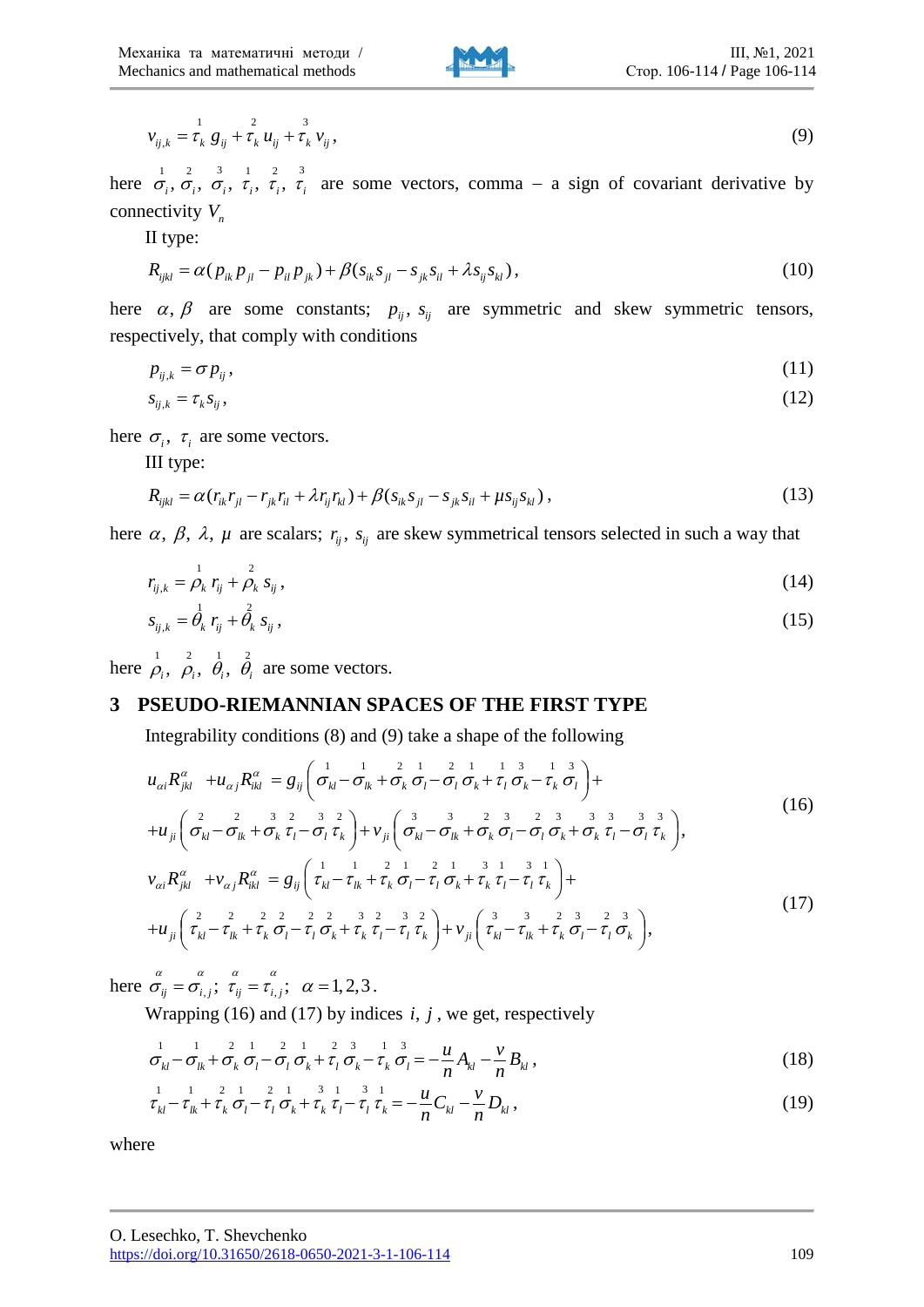

$$
v_{ij,k} = \tau_k^1 g_{ij} + \tau_k^2 u_{ij} + \tau_k^3 v_{ij},
$$
\n(9)

here  $\sigma_i$ ,  $\sigma_i$ ,  $\sigma_i$ ,  $\tau_i$ ,  $\tau_i$ ,  $\tau_i$  are some vectors, comma – a sign of covariant derivative by connectivity  $V_n$ 

II type:

$$
R_{ijkl} = \alpha (p_{ik} p_{jl} - p_{il} p_{jk}) + \beta (s_{ik} s_{jl} - s_{jk} s_{il} + \lambda s_{ij} s_{kl}),
$$
\n(10)

here  $\alpha$ ,  $\beta$  are some constants;  $p_{ij}$ ,  $s_{ij}$  are symmetric and skew symmetric tensors, respectively, that comply with conditions

$$
p_{ij,k} = \sigma p_{ij},\tag{11}
$$

$$
s_{ij,k} = \tau_k s_{ij},\tag{12}
$$

here  $\sigma_i$ ,  $\tau_i$  are some vectors.

III type:

$$
R_{ijkl} = \alpha (r_{ik}r_{jl} - r_{jk}r_{il} + \lambda r_{ij}r_{kl}) + \beta (s_{ik}s_{jl} - s_{jk}s_{il} + \mu s_{ij}s_{kl}),
$$
\n(13)

here  $\alpha$ ,  $\beta$ ,  $\lambda$ ,  $\mu$  are scalars;  $r_{ij}$ ,  $s_{ij}$  are skew symmetrical tensors selected in such a way that

$$
r_{ij,k} = \rho_k r_{ij} + \rho_k s_{ij},
$$
 (14)

$$
s_{ij,k} = \dot{\theta}_k r_{ij} + \dot{\theta}_k s_{ij}, \qquad (15)
$$

here  $\overrightarrow{\rho}_i$ ,  $\overrightarrow{\rho}_i$ ,  $\overrightarrow{\theta}_i$ ,  $\overrightarrow{\theta}_i$  are some vectors.

# **3 PSEUDO-RIEMANNIAN SPACES OF THE FIRST TYPE**

Integrability conditions (8) and (9) take a shape of the following

$$
u_{\alpha i} R^{\alpha}_{jkl} + u_{\alpha j} R^{\alpha}_{ikl} = g_{ij} \left( \sigma^1_{kl} - \sigma^1_{lk} + \sigma^2_k \sigma^1_l - \sigma^1_l \sigma^1_k + \tau^1_l \sigma^2_k - \tau^1_k \sigma^1_l \right) +
$$
  
+
$$
u_{ji} \left( \sigma^2_{kl} - \sigma^2_{lk} + \sigma^2_k \tau^1_l - \sigma^1_l \tau^1_k \right) + v_{ji} \left( \sigma^3_{kl} - \sigma^3_{lk} + \sigma^2_k \sigma^1_l - \sigma^1_l \sigma^1_k + \sigma^2_l \tau^1_l - \sigma^1_l \tau^1_k \right),
$$
 (16)

$$
v_{\alpha i} R^{\alpha}_{jkl} + v_{\alpha j} R^{\alpha}_{ikl} = g_{ij} \left( \tau_{kl}^{1} - \tau_{lk}^{1} + \tau_k^{2} \sigma_l - \tau_l^{1} \sigma_k + \tau_k^{3} \tau_l - \tau_l^{4} \tau_k \right) +
$$
  
+
$$
u_{ji} \left( \tau_{kl}^{2} - \tau_{lk}^{2} + \tau_k^{2} \sigma_l - \tau_l^{2} \sigma_k + \tau_k^{3} \tau_l - \tau_l^{3} \tau_k \right) + v_{ji} \left( \tau_{kl}^{3} - \tau_{lk}^{3} + \tau_k^{2} \sigma_l - \tau_l^{3} \sigma_k \right),
$$
\n(17)

here  $\sigma_{ij}^{\alpha} = \sigma_{i,j}^{\alpha}$ ;  $\tau_{ij} = \tau_{i,j}^{\alpha}$ ;  $\alpha = 1,2,3$ .

Wrapping (16) and (17) by indices  $i, j$ , we get, respectively

$$
\sigma_{kl}^{1} - \sigma_{lk}^{1} + \sigma_k^{2} \sigma_l^{1} - \sigma_l^{2} \sigma_k^{1} + \tau_l^{2} \sigma_k^{3} - \tau_k^{1} \sigma_l^{3} = -\frac{u}{n} A_{kl} - \frac{v}{n} B_{kl}, \qquad (18)
$$

$$
\tau_{kl}^{1} - \tau_{lk}^{1} + \tau_k \sigma_l - \tau_l \sigma_k + \tau_k \tau_l - \tau_l \tau_k = -\frac{u}{n} C_{kl} - \frac{v}{n} D_{kl}, \qquad (19)
$$

where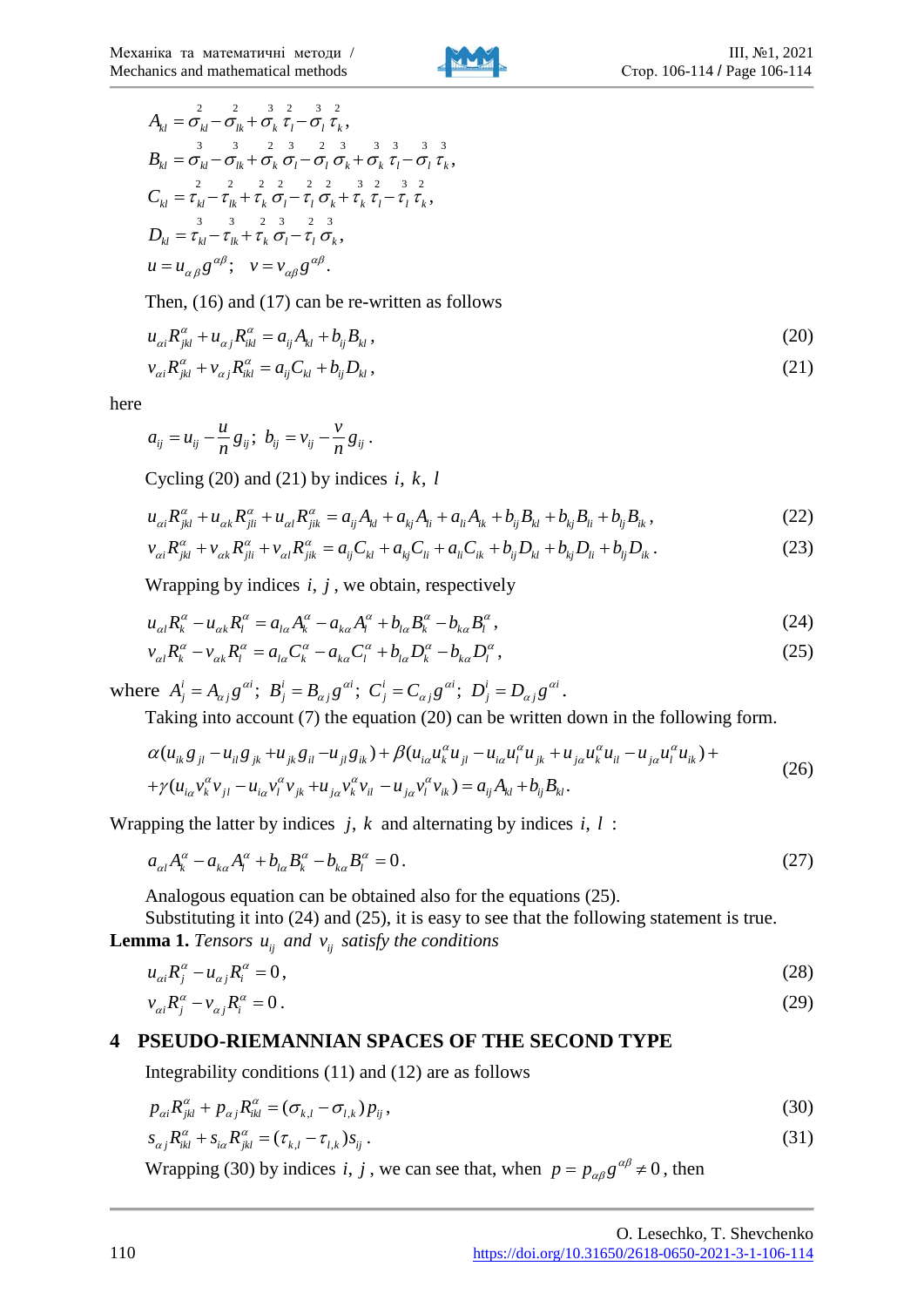

$$
A_{kl} = \frac{2}{\sigma_{kl}} - \frac{2}{\sigma_{lk}} + \frac{3}{\sigma_{kl}} \frac{2}{\tau_{l}} - \frac{3}{\sigma_{l}} \frac{2}{\tau_{k}},
$$
  
\n
$$
B_{kl} = \frac{3}{\sigma_{kl}} - \frac{3}{\sigma_{lk}} + \frac{2}{\sigma_{k}} \frac{3}{\sigma_{l}} - \frac{2}{\sigma_{l}} \frac{3}{\sigma_{k}} + \frac{3}{\sigma_{k}} \frac{3}{\tau_{l}} - \frac{3}{\sigma_{l}} \frac{3}{\tau_{k}},
$$
  
\n
$$
C_{kl} = \frac{2}{\tau_{kl}} - \frac{2}{\tau_{lk}} + \frac{2}{\tau_{k}} \frac{2}{\sigma_{l}} - \frac{2}{\tau_{l}} \frac{2}{\sigma_{k}} + \frac{2}{\tau_{k}} \frac{2}{\tau_{l}} - \frac{3}{\tau_{l}} \frac{2}{\tau_{k}},
$$
  
\n
$$
D_{kl} = \frac{3}{\tau_{kl}} - \frac{3}{\tau_{lk}} + \frac{2}{\tau_{k}} \frac{3}{\sigma_{l}} - \frac{2}{\tau_{l}} \frac{3}{\sigma_{k}},
$$
  
\n
$$
u = u_{\alpha\beta} g^{\alpha\beta}; \quad v = v_{\alpha\beta} g^{\alpha\beta}.
$$

Then, (16) and (17) can be re-written as follows

$$
u_{\alpha i} R^{\alpha}_{jkl} + u_{\alpha j} R^{\alpha}_{ikl} = a_{ij} A_{kl} + b_{ij} B_{kl},
$$
\n(20)

$$
v_{ai}R_{jkl}^{\alpha} + v_{\alpha j}R_{ikl}^{\alpha} = a_{ij}C_{kl} + b_{ij}D_{kl},
$$
\n(21)

here

$$
a_{ij} = u_{ij} - \frac{u}{n} g_{ij}; b_{ij} = v_{ij} - \frac{v}{n} g_{ij}.
$$

Cycling  $(20)$  and  $(21)$  by indices *i*, *k*, *l* 

$$
u_{ai}R^{\alpha}_{jkl} + u_{\alpha k}R^{\alpha}_{jli} + u_{\alpha l}R^{\alpha}_{jik} = a_{ij}A_{kl} + a_{kj}A_{li} + a_{li}A_{ik} + b_{ij}B_{kl} + b_{kj}B_{li} + b_{lj}B_{ik},
$$
\n(22)

$$
v_{\alpha i} R^{\alpha}_{jkl} + v_{\alpha k} R^{\alpha}_{jli} + v_{\alpha l} R^{\alpha}_{jik} = a_{ij} C_{kl} + a_{kj} C_{li} + a_{li} C_{ik} + b_{ij} D_{kl} + b_{kj} D_{li} + b_{lj} D_{ik}.
$$
 (23)

Wrapping by indices  $i, j$ , we obtain, respectively

$$
u_{\alpha l}R_k^{\alpha} - u_{\alpha k}R_l^{\alpha} = a_{l\alpha}A_k^{\alpha} - a_{k\alpha}A_l^{\alpha} + b_{l\alpha}B_k^{\alpha} - b_{k\alpha}B_l^{\alpha},\qquad(24)
$$

$$
v_{\alpha l} R_k^{\alpha} - v_{\alpha k} R_l^{\alpha} = a_{l\alpha} C_k^{\alpha} - a_{k\alpha} C_l^{\alpha} + b_{l\alpha} D_k^{\alpha} - b_{k\alpha} D_l^{\alpha}, \qquad (25)
$$

where  $A^i_j = A_{\alpha j} g^{\alpha i}$ ;  $B^i_j = B_{\alpha j} g^{\alpha i}$ ;  $C^i_j = C_{\alpha j} g^{\alpha i}$ ;  $D^i_j = D_{\alpha j} g^{\alpha i}$ .

Taking into account (7) the equation (20) can be written down in the following form.

$$
\alpha(u_{ik}g_{jl} - u_{il}g_{jk} + u_{jk}g_{il} - u_{jl}g_{ik}) + \beta(u_{ia}u_{k}^{\alpha}u_{jl} - u_{ia}u_{l}^{\alpha}u_{jk} + u_{ja}u_{k}^{\alpha}u_{il} - u_{ja}u_{l}^{\alpha}u_{ik}) + + \gamma(u_{ia}v_{k}^{\alpha}v_{jl} - u_{ia}v_{l}^{\alpha}v_{jk} + u_{ja}v_{k}^{\alpha}v_{il} - u_{ja}v_{l}^{\alpha}v_{ik}) = a_{ij}A_{kl} + b_{ij}B_{kl}.
$$
\n(26)

Wrapping the latter by indices  $j, k$  and alternating by indices  $i, l$ :

$$
a_{\alpha l}A_k^{\alpha} - a_{k\alpha}A_l^{\alpha} + b_{l\alpha}B_k^{\alpha} - b_{k\alpha}B_l^{\alpha} = 0.
$$
\n
$$
(27)
$$

Analogous equation can be obtained also for the equations (25).

Substituting it into (24) and (25), it is easy to see that the following statement is true. **Lemma 1.** *Tensors*  $u_{ij}$  *and*  $v_{ij}$  *satisfy the conditions* 

$$
u_{\alpha i} R_j^{\alpha} - u_{\alpha j} R_i^{\alpha} = 0, \qquad (28)
$$

$$
v_{\alpha i} R_j^{\alpha} - v_{\alpha j} R_i^{\alpha} = 0. \tag{29}
$$

## **4 PSEUDO-RIEMANNIAN SPACES OF THE SECOND TYPE**

Integrability conditions (11) and (12) are as follows

$$
p_{ai}R_{jkl}^{\alpha} + p_{\alpha j}R_{ikl}^{\alpha} = (\sigma_{k,l} - \sigma_{l,k})p_{ij},\qquad(30)
$$

$$
s_{\alpha j} R_{ik}^{\alpha} + s_{i\alpha} R_{jkl}^{\alpha} = (\tau_{k,l} - \tau_{l,k}) s_{ij} \,. \tag{31}
$$

Wrapping (30) by indices *i*, *j*, we can see that, when  $p = p_{\alpha\beta} g^{\alpha\beta} \neq 0$ , then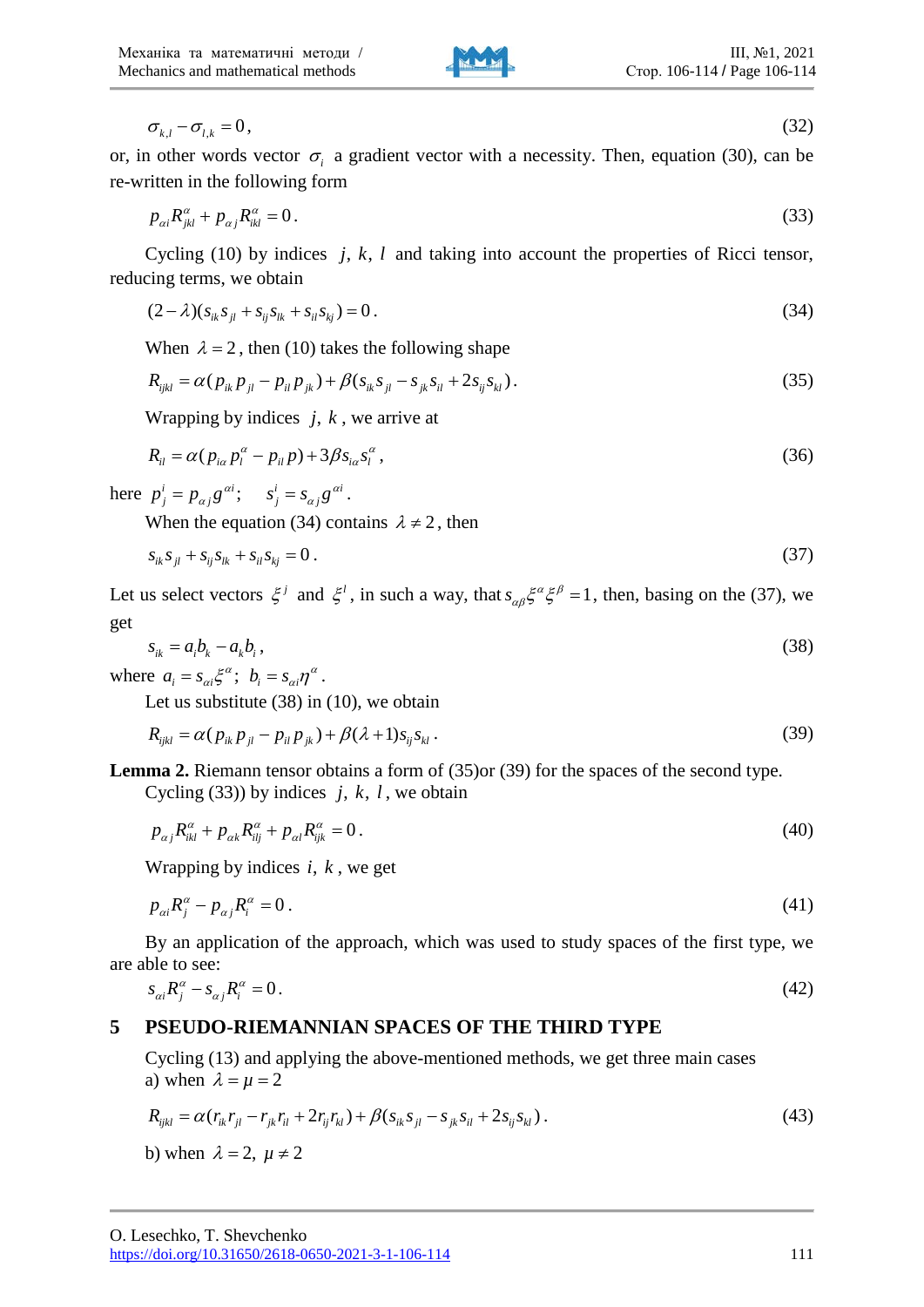$$
\sigma_{k,l} - \sigma_{l,k} = 0, \tag{32}
$$

or, in other words vector  $\sigma_i$  a gradient vector with a necessity. Then, equation (30), can be re-written in the following form

$$
p_{ai}R_{jkl}^{\alpha} + p_{aj}R_{ikl}^{\alpha} = 0.
$$
\n(33)

Cycling  $(10)$  by indices *j, k, l* and taking into account the properties of Ricci tensor, reducing terms, we obtain

$$
(2 - \lambda)(s_{ik}s_{jl} + s_{ij}s_{lk} + s_{il}s_{kj}) = 0.
$$
\n(34)

When  $\lambda = 2$ , then (10) takes the following shape

$$
R_{ijkl} = \alpha (p_{ik} p_{jl} - p_{il} p_{jk}) + \beta (s_{ik} s_{jl} - s_{jk} s_{il} + 2s_{ij} s_{kl}).
$$
\n(35)

Wrapping by indices  $j, k$ , we arrive at

$$
R_{il} = \alpha (p_{i\alpha} p_l^{\alpha} - p_{il} p) + 3\beta s_{i\alpha} s_l^{\alpha} , \qquad (36)
$$

here  $p_j^i = p_{\alpha j} g^{\alpha i}$ ;  $s_j^i = s_{\alpha j} g^{\alpha i}$ .

When the equation (34) contains  $\lambda \neq 2$ , then

$$
s_{ik}s_{jl} + s_{ij}s_{lk} + s_{il}s_{kj} = 0.
$$
\n(37)

Let us select vectors  $\xi^j$  and  $\xi^l$ , in such a way, that  $s_{\alpha\beta}\xi^{\alpha}\xi^{\beta} = 1$ , then, basing on the (37), we get

$$
s_{ik} = a_i b_k - a_k b_i, \qquad (38)
$$

where  $a_i = s_{\alpha i} \xi^{\alpha}$ ;  $b_i = s_{\alpha i} \eta^{\alpha}$ .

Let us substitute (38) in (10), we obtain

$$
R_{ijkl} = \alpha (p_{ik} p_{jl} - p_{il} p_{jk}) + \beta (\lambda + 1) s_{ij} s_{kl} .
$$
 (39)

**Lemma 2.** Riemann tensor obtains a form of (35)or (39) for the spaces of the second type.

Cycling (33)) by indices  $j, k, l$ , we obtain

$$
p_{\alpha j} R_{ik}^{\alpha} + p_{\alpha k} R_{ilj}^{\alpha} + p_{\alpha l} R_{ijk}^{\alpha} = 0.
$$
 (40)

Wrapping by indices  $i, k$ , we get

$$
p_{ai}R_j^{\alpha} - p_{aj}R_i^{\alpha} = 0. \tag{41}
$$

By an application of the approach, which was used to study spaces of the first type, we are able to see:

$$
s_{ai}R_j^{\alpha} - s_{aj}R_i^{\alpha} = 0. \tag{42}
$$

# **5 PSEUDO-RIEMANNIAN SPACES OF THE THIRD TYPE**

Cycling (13) and applying the above-mentioned methods, we get three main cases a) when  $\lambda = \mu = 2$ 

$$
R_{ijkl} = \alpha (r_{ik}r_{jl} - r_{jk}r_{il} + 2r_{ij}r_{kl}) + \beta (s_{ik}s_{jl} - s_{jk}s_{il} + 2s_{ij}s_{kl}).
$$
\n(43)

b) when  $\lambda = 2$ ,  $\mu \neq 2$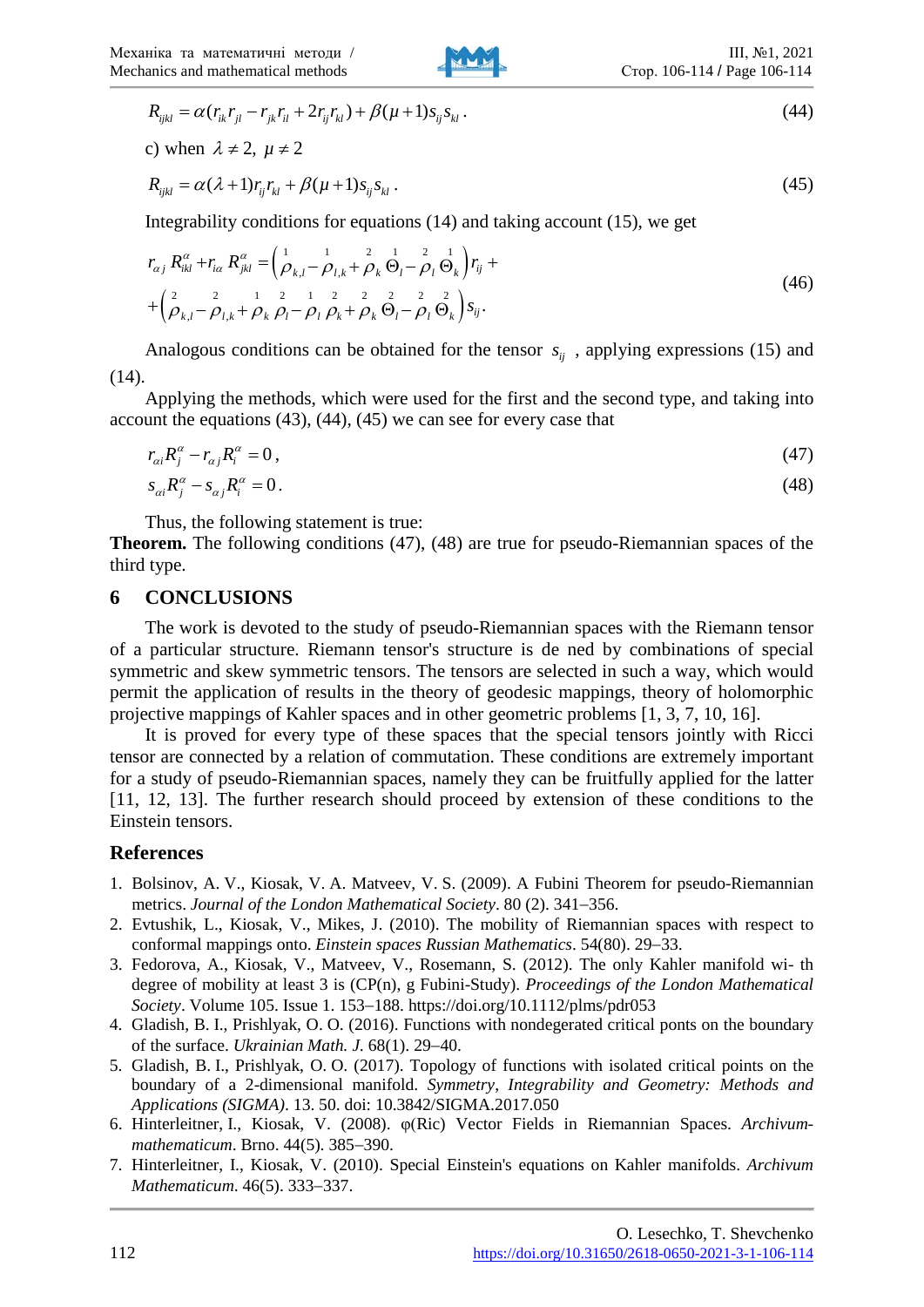

$$
R_{ijkl} = \alpha (r_{ik}r_{jl} - r_{jk}r_{il} + 2r_{ij}r_{kl}) + \beta (\mu + 1)s_{ij}s_{kl} \,.
$$
 (44)

c) when  $\lambda \neq 2$ ,  $\mu \neq 2$ 

$$
R_{ijkl} = \alpha(\lambda + 1)r_{ij}r_{kl} + \beta(\mu + 1)s_{ij}s_{kl} \tag{45}
$$

Integrability conditions for equations (14) and taking account (15), we get

$$
r_{\alpha j} R_{ikl}^{\alpha} + r_{i\alpha} R_{jkl}^{\alpha} = \left(\frac{1}{\rho_{k,l}} - \frac{1}{\rho_{l,k}} + \frac{2}{\rho_k} \frac{1}{\Theta_l} - \frac{2}{\rho_l} \frac{1}{\Theta_k}\right) r_{ij} +
$$
  
+ 
$$
\left(\frac{2}{\rho_{k,l}} - \frac{2}{\rho_{l,k}} + \frac{1}{\rho_k} \frac{2}{\rho_l} - \frac{1}{\rho_l} \frac{2}{\rho_k} + \frac{2}{\rho_k} \frac{2}{\Theta_l} - \frac{2}{\rho_l} \frac{2}{\Theta_k}\right) s_{ij}.
$$
 (46)

Analogous conditions can be obtained for the tensor  $s_{ij}$ , applying expressions (15) and (14).

Applying the methods, which were used for the first and the second type, and taking into account the equations (43), (44), (45) we can see for every case that

$$
r_{\alpha i}R_j^{\alpha} - r_{\alpha j}R_i^{\alpha} = 0, \qquad (47)
$$
  

$$
s_{\alpha i}R_j^{\alpha} - s_{\alpha j}R_i^{\alpha} = 0.
$$

Thus, the following statement is true:

**Theorem.** The following conditions (47), (48) are true for pseudo-Riemannian spaces of the third type.

## **6 CONCLUSIONS**

The work is devoted to the study of pseudo-Riemannian spaces with the Riemann tensor of a particular structure. Riemann tensor's structure is de ned by combinations of special symmetric and skew symmetric tensors. The tensors are selected in such a way, which would permit the application of results in the theory of geodesic mappings, theory of holomorphic projective mappings of Kahler spaces and in other geometric problems [1, 3, 7, 10, 16].

It is proved for every type of these spaces that the special tensors jointly with Ricci tensor are connected by a relation of commutation. These conditions are extremely important for a study of pseudo-Riemannian spaces, namely they can be fruitfully applied for the latter [11, 12, 13]. The further research should proceed by extension of these conditions to the Einstein tensors.

# **References**

- 1. Bolsinov, A. V., Kiosak, V. A. Matveev, V. S. (2009). A Fubini Theorem for pseudo-Riemannian metrics. *Journal of the London Mathematical Society*. 80 (2). 341−356.
- 2. Evtushik, L., Kiosak, V., Mikes, J. (2010). The mobility of Riemannian spaces with respect to conformal mappings onto. *Einstein spaces Russian Mathematics*. 54(80). 29−33.
- 3. Fedorova, A., Kiosak, V., Matveev, V., Rosemann, S. (2012). The only Kahler manifold wi- th degree of mobility at least 3 is (CP(n), g Fubini-Study). *Proceedings of the London Mathematical Society*. Volume 105. Issue 1. 153−188. https://doi.org/10.1112/plms/pdr053
- 4. Gladish, B. I., Prishlyak, O. O. (2016). Functions with nondegerated critical ponts on the boundary of the surface. *Ukrainian Math. J.* 68(1). 29−40.
- 5. Gladish, B. I., Prishlyak, O. O. (2017). Topology of functions with isolated critical points on the boundary of a 2-dimensional manifold. *Symmetry*, *Integrability and Geometry: Methods and Applications (SIGMA)*. 13. 50. doi: 10.3842/SIGMA.2017.050
- 6. Hinterleitner, I., Kiosak, V. (2008). φ(Ric) Vector Fields in Riemannian Spaces. *Archivummathematicum*. Brno. 44(5). 385−390.
- 7. Hinterleitner, I., Kiosak, V. (2010). Special Einstein's equations on Kahler manifolds. *Archivum Mathematicum*. 46(5). 333−337.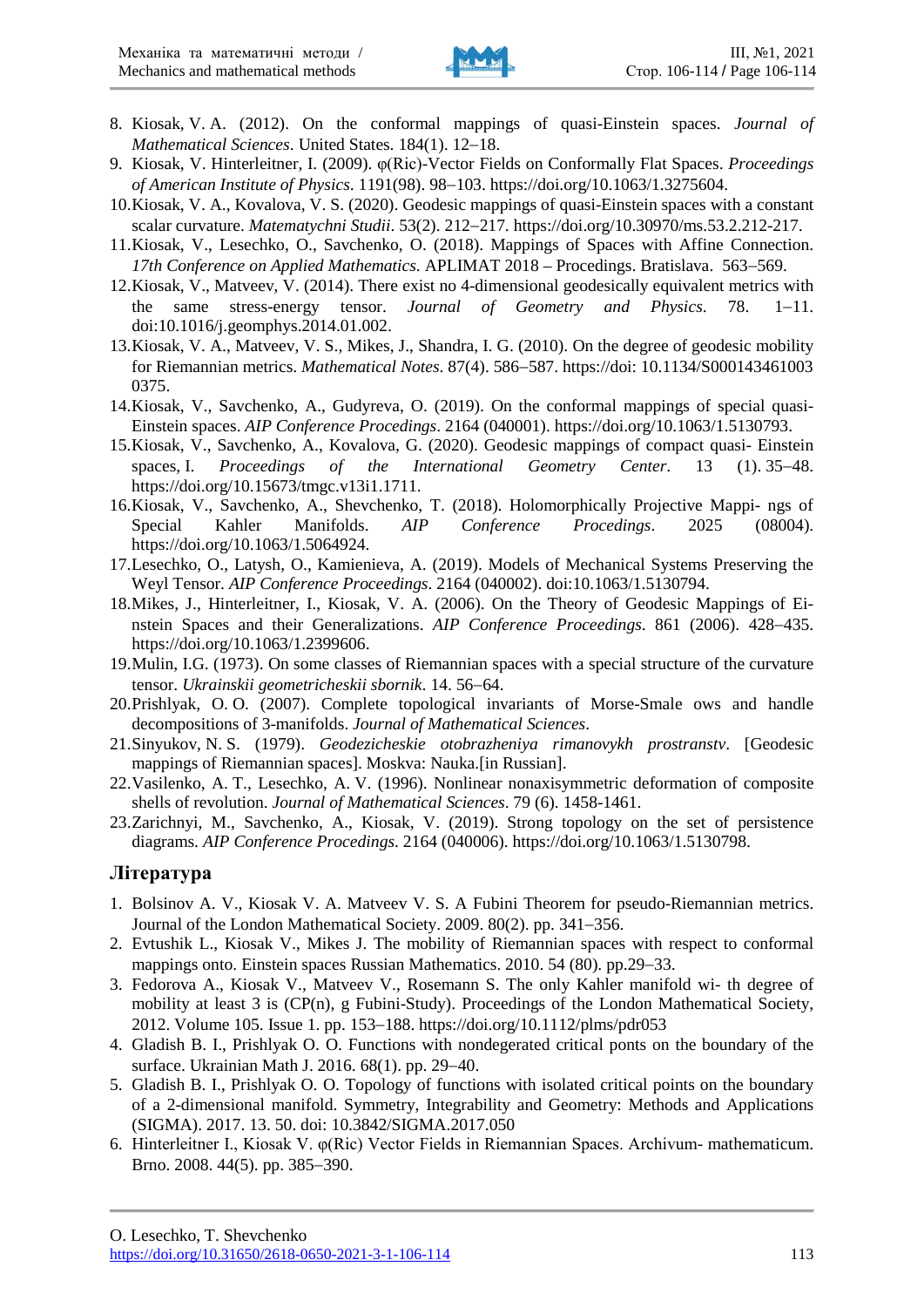

- 8. Kiosak, V. A. (2012). On the conformal mappings of quasi-Einstein spaces. *Journal of Mathematical Sciences*. United States. 184(1). 12−18.
- 9. Kiosak, V. Hinterleitner, I. (2009). φ(Ric)-Vector Fields on Conformally Flat Spaces. *Proceedings of American Institute of Physics*. 1191(98). 98−103. https://doi.org/10.1063/1.3275604.
- 10.Kiosak, V. A., Kovalova, V. S. (2020). Geodesic mappings of quasi-Einstein spaces with a constant scalar curvature. *Matematychni Studii*. 53(2). 212−217. https://doi.org/10.30970/ms.53.2.212-217.
- 11.Kiosak, V., Lesechko, O., Savchenko, O. (2018). Mappings of Spaces with Affine Connection. *17th Conference on Applied Mathematics*. APLIMAT 2018 – Procedings. Bratislava. 563−569.
- 12.Kiosak, V., Matveev, V. (2014). There exist no 4-dimensional geodesically equivalent metrics with the same stress-energy tensor. *Journal of Geometry and Physics*. 78. 1−11. doi:10.1016/j.geomphys.2014.01.002.
- 13.Kiosak, V. A., Matveev, V. S., Mikes, J., Shandra, I. G. (2010). On the degree of geodesic mobility for Riemannian metrics. *Mathematical Notes*. 87(4). 586−587. https://doi: 10.1134/S000143461003 0375.
- 14.Kiosak, V., Savchenko, A., Gudyreva, O. (2019). On the conformal mappings of special quasi-Einstein spaces. *AIP Conference Procedings*. 2164 (040001). https://doi.org/10.1063/1.5130793.
- 15.Kiosak, V., Savchenko, A., Kovalova, G. (2020). Geodesic mappings of compact quasi- Einstein spaces, I. *Proceedings of the International Geometry Center*. 13 (1). 35−48. https://doi.org/10.15673/tmgc.v13i1.1711.
- 16.Kiosak, V., Savchenko, A., Shevchenko, T. (2018). Holomorphically Projective Mappi- ngs of Special Kahler Manifolds. *AIP Conference Procedings*. 2025 (08004). https://doi.org/10.1063/1.5064924.
- 17.Lesechko, O., Latysh, O., Kamienieva, A. (2019). Models of Mechanical Systems Preserving the Weyl Tensor. *AIP Conference Proceedings*. 2164 (040002). doi:10.1063/1.5130794.
- 18.Mikes, J., Hinterleitner, I., Kiosak, V. A. (2006). On the Theory of Geodesic Mappings of Einstein Spaces and their Generalizations. *AIP Conference Proceedings*. 861 (2006). 428−435. https://doi.org/10.1063/1.2399606.
- 19.Mulin, I.G. (1973). On some classes of Riemannian spaces with a special structure of the curvature tensor. *Ukrainskii geometricheskii sbornik*. 14. 56−64.
- 20.Prishlyak, O. O. (2007). Complete topological invariants of Morse-Smale ows and handle decompositions of 3-manifolds. *Journal of Mathematical Sciences*.
- 21.Sinyukov, N. S. (1979). *Geodezicheskie otobrazheniya rimanovykh prostranstv*. [Geodesic mappings of Riemannian spaces]. Moskva: Nauka.[in Russian].
- 22.Vasilenko, A. T., Lesechko, A. V. (1996). Nonlinear nonaxisymmetric deformation of composite shells of revolution. *Journal of Mathematical Sciences*. 79 (6). 1458-1461.
- 23.Zarichnyi, M., Savchenko, A., Kiosak, V. (2019). Strong topology on the set of persistence diagrams. *AIP Conference Procedings*. 2164 (040006). https://doi.org/10.1063/1.5130798.

#### **Література**

- 1. Bolsinov A. V., Kiosak V. A. Matveev V. S. A Fubini Theorem for pseudo-Riemannian metrics. Journal of the London Mathematical Society. 2009. 80(2). pp. 341−356.
- 2. Evtushik L., Kiosak V., Mikes J. The mobility of Riemannian spaces with respect to conformal mappings onto. Einstein spaces Russian Mathematics. 2010. 54 (80). pp.29−33.
- 3. Fedorova A., Kiosak V., Matveev V., Rosemann S. The only Kahler manifold wi- th degree of mobility at least 3 is (CP(n), g Fubini-Study). Proceedings of the London Mathematical Society, 2012. Volume 105. Issue 1. pp. 153−188. https://doi.org/10.1112/plms/pdr053
- 4. Gladish B. I., Prishlyak O. O. Functions with nondegerated critical ponts on the boundary of the surface. Ukrainian Math J. 2016. 68(1). pp. 29−40.
- 5. Gladish B. I., Prishlyak O. O. Topology of functions with isolated critical points on the boundary of a 2-dimensional manifold. Symmetry, Integrability and Geometry: Methods and Applications (SIGMA). 2017. 13. 50. doi: 10.3842/SIGMA.2017.050
- 6. Hinterleitner I., Kiosak V. φ(Ric) Vector Fields in Riemannian Spaces. Archivum- mathematicum. Brno. 2008. 44(5). pp. 385−390.